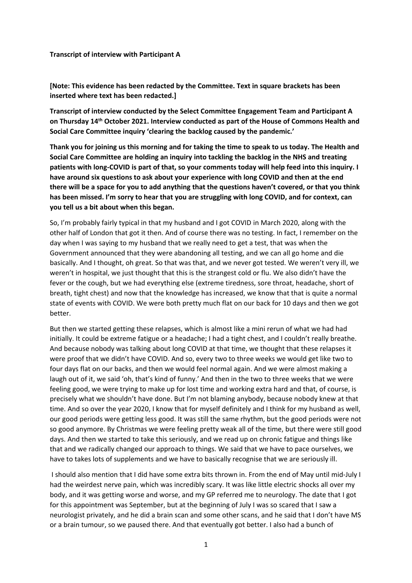#### **Transcript of interview with Participant A**

**[Note: This evidence has been redacted by the Committee. Text in square brackets has been inserted where text has been redacted.]**

**Transcript of interview conducted by the Select Committee Engagement Team and Participant A on Thursday 14th October 2021. Interview conducted as part of the House of Commons Health and Social Care Committee inquiry 'clearing the backlog caused by the pandemic.'**

Thank you for joining us this morning and for taking the time to speak to us today. The Health and **Social Care Committee are holding an inquiry into tackling the backlog in the NHS and treating** patients with long-COVID is part of that, so your comments today will help feed into this inquiry. I **have around six questions to ask about your experience with long COVID and then at the end** there will be a space for you to add anything that the questions haven't covered, or that you think **has been missed. I'm sorry to hear that you are struggling with long COVID, and for context, can you tell us a bit about when this began.**

So, I'm probably fairly typical in that my husband and I got COVID in March 2020, along with the other half of London that got it then. And of course there was no testing. In fact, I remember on the day when I was saying to my husband that we really need to get a test, that was when the Government announced that they were abandoning all testing, and we can all go home and die basically. And I thought, oh great. So that was that, and we never got tested. We weren't very ill, we weren't in hospital, we just thought that this is the strangest cold or flu. We also didn't have the fever or the cough, but we had everything else (extreme tiredness, sore throat, headache, short of breath, tight chest) and now that the knowledge has increased, we know that that is quite a normal state of events with COVID. We were both pretty much flat on our back for 10 days and then we got better.

But then we started getting these relapses, which is almost like a mini rerun of what we had had initially. It could be extreme fatigue or a headache; I had a tight chest, and I couldn't really breathe. And because nobody was talking about long COVID at that time, we thought that these relapses it were proof that we didn't have COVID. And so, every two to three weeks we would get like two to four days flat on our backs, and then we would feel normal again. And we were almost making a laugh out of it, we said 'oh, that's kind of funny.' And then in the two to three weeks that we were feeling good, we were trying to make up for lost time and working extra hard and that, of course, is precisely what we shouldn't have done. But I'm not blaming anybody, because nobody knew at that time. And so over the year 2020, I know that for myself definitely and I think for my husband as well, our good periods were getting less good. It was still the same rhythm, but the good periods were not so good anymore. By Christmas we were feeling pretty weak all of the time, but there were still good days. And then we started to take this seriously, and we read up on chronic fatigue and things like that and we radically changed our approach to things. We said that we have to pace ourselves, we have to takes lots of supplements and we have to basically recognise that we are seriously ill.

I should also mention that I did have some extra bits thrown in. From the end of May until mid-July I had the weirdest nerve pain, which was incredibly scary. It was like little electric shocks all over my body, and it was getting worse and worse, and my GP referred me to neurology. The date that I got for this appointment was September, but at the beginning of July I was so scared that I saw a neurologist privately, and he did a brain scan and some other scans, and he said that I don't have MS or a brain tumour, so we paused there. And that eventually got better. I also had a bunch of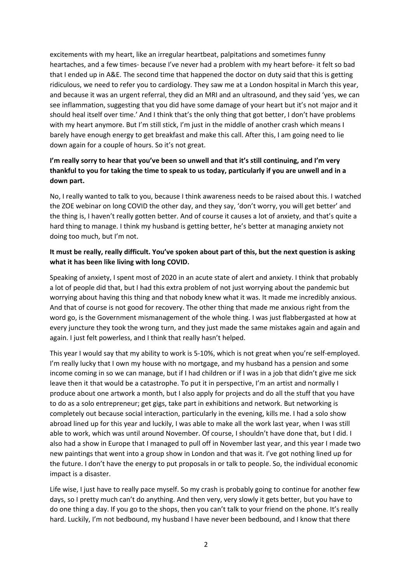excitements with my heart, like an irregular heartbeat, palpitations and sometimes funny heartaches, and a few times- because I've never had a problem with my heart before- it felt so bad that I ended up in A&E. The second time that happened the doctor on duty said that this is getting ridiculous, we need to refer you to cardiology. They saw me at a London hospital in March this year, and because it was an urgent referral, they did an MRI and an ultrasound, and they said 'yes, we can see inflammation, suggesting that you did have some damage of your heart but it's not major and it should heal itself over time.' And I think that's the only thing that got better, I don't have problems with my heart anymore. But I'm still stick, I'm just in the middle of another crash which means I barely have enough energy to get breakfast and make this call. After this, I am going need to lie down again for a couple of hours. So it's not great.

# **I'm really sorry to hear that you've been so unwell and that it's still continuing, and I'm very** thankful to you for taking the time to speak to us today, particularly if you are unwell and in a **down part.**

No, I really wanted to talk to you, because I think awareness needs to be raised about this. I watched the ZOE webinar on long COVID the other day, and they say, 'don't worry, you will get better' and the thing is, I haven't really gotten better. And of course it causes a lot of anxiety, and that's quite a hard thing to manage. I think my husband is getting better, he's better at managing anxiety not doing too much, but I'm not.

#### It must be really, really difficult. You've spoken about part of this, but the next question is asking **what it has been like living with long COVID.**

Speaking of anxiety, I spent most of 2020 in an acute state of alert and anxiety. I think that probably a lot of people did that, but I had this extra problem of not just worrying about the pandemic but worrying about having this thing and that nobody knew what it was. It made me incredibly anxious. And that of course is not good for recovery. The other thing that made me anxious right from the word go, is the Government mismanagement of the whole thing. I was just flabbergasted at how at every juncture they took the wrong turn, and they just made the same mistakes again and again and again. I just felt powerless, and I think that really hasn't helped.

This year I would say that my ability to work is 5-10%, which is not great when you're self-employed. I'm really lucky that I own my house with no mortgage, and my husband has a pension and some income coming in so we can manage, but if I had children or if I was in a job that didn't give me sick leave then it that would be a catastrophe. To put it in perspective, I'm an artist and normally I produce about one artwork a month, but I also apply for projects and do all the stuff that you have to do as a solo entrepreneur; get gigs, take part in exhibitions and network. But networking is completely out because social interaction, particularly in the evening, kills me. I had a solo show abroad lined up for this year and luckily, I was able to make all the work last year, when I was still able to work, which was until around November. Of course, I shouldn't have done that, but I did. I also had a show in Europe that I managed to pull off in November last year, and this year I made two new paintings that went into a group show in London and that was it. I've got nothing lined up for the future. I don't have the energy to put proposals in or talk to people. So, the individual economic impact is a disaster.

Life wise, I just have to really pace myself. So my crash is probably going to continue for another few days, so I pretty much can't do anything. And then very, very slowly it gets better, but you have to do one thing a day. If you go to the shops, then you can't talk to your friend on the phone. It's really hard. Luckily, I'm not bedbound, my husband I have never been bedbound, and I know that there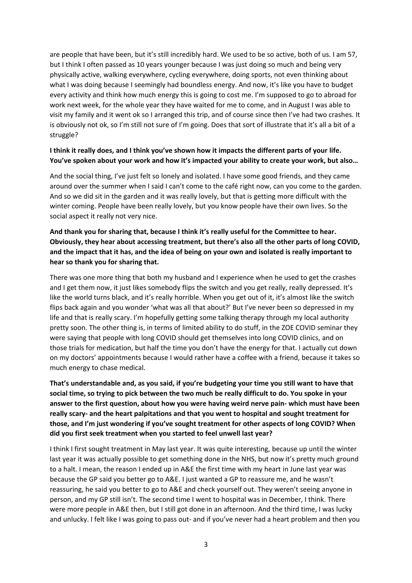are people that have been, but it's still incredibly hard. We used to be so active, both of us. I am 57, but I think I often passed as 10 years younger because I was just doing so much and being very physically active, walking everywhere, cycling everywhere, doing sports, not even thinking about what I was doing because I seemingly had boundless energy. And now, it's like you have to budget every activity and think how much energy this is going to cost me. I'm supposed to go to abroad for work next week, for the whole year they have waited for me to come, and in August I was able to visit my family and it went ok so I arranged this trip, and of course since then I've had two crashes. It is obviously not ok, so I'm still not sure of I'm going. Does that sort of illustrate that it's all a bit of a struggle?

#### I think it really does, and I think you've shown how it impacts the different parts of your life. **You've spoken about your work and how it's impacted your ability to create your work, but also…**

And the social thing, I've just felt so lonely and isolated. I have some good friends, and they came around over the summer when I said I can't come to the café right now, can you come to the garden. And so we did sit in the garden and it was really lovely, but that is getting more difficult with the winter coming. People have been really lovely, but you know people have their own lives. So the social aspect it really not very nice.

## **And thank you for sharing that, because I think it's really useful for the Committee to hear. Obviously, they hear about accessing treatment, but there's also all the other parts of long COVID,** and the impact that it has, and the idea of being on your own and isolated is really important to **hear so thank you for sharing that.**

There was one more thing that both my husband and I experience when he used to get the crashes and I get them now, it just likes somebody flips the switch and you get really, really depressed. It's like the world turns black, and it's really horrible. When you get out of it, it's almost like the switch flips back again and you wonder 'what was all that about?' But I've never been so depressed in my life and that is really scary. I'm hopefully getting some talking therapy through my local authority pretty soon. The other thing is, in terms of limited ability to do stuff, in the ZOE COVID seminar they were saying that people with long COVID should get themselves into long COVID clinics, and on those trials for medication, but half the time you don't have the energy for that. I actually cut down on my doctors' appointments because I would rather have a coffee with a friend, because it takes so much energy to chase medical.

**That's understandable and, as you said, if you're budgeting your time you still want to have that** social time, so trying to pick between the two much be really difficult to do. You spoke in your **answer to the first question, about how you were having weird nerve pain- which must have been really scary- and the heart palpitations and that you went to hospital and sought treatment for those, and I'm just wondering if you've sought treatment for other aspects of long COVID? When did you first seek treatment when you started to feel unwell last year?**

I think I first sought treatment in May last year. It was quite interesting, because up until the winter last year it was actually possible to get something done in the NHS, but now it's pretty much ground to a halt. I mean, the reason I ended up in A&E the first time with my heart in June last year was because the GP said you better go to A&E. I just wanted a GP to reassure me, and he wasn't reassuring, he said you better to go to A&E and check yourself out. They weren't seeing anyone in person, and my GP still isn't. The second time I went to hospital was in December, I think. There were more people in A&E then, but I still got done in an afternoon. And the third time, I was lucky and unlucky. I felt like I was going to pass out- and if you've never had a heart problem and then you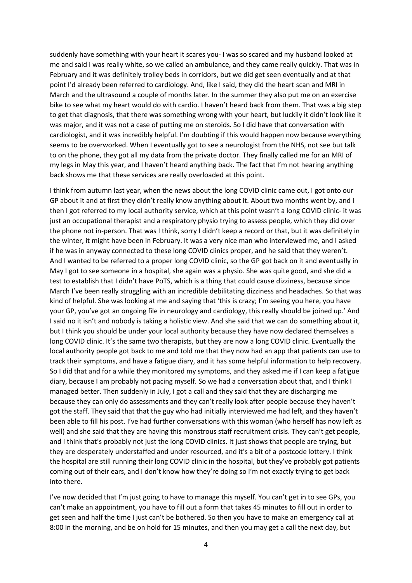suddenly have something with your heart it scares you- I was so scared and my husband looked at me and said I was really white, so we called an ambulance, and they came really quickly. That was in February and it was definitely trolley beds in corridors, but we did get seen eventually and at that point I'd already been referred to cardiology. And, like I said, they did the heart scan and MRI in March and the ultrasound a couple of months later. In the summer they also put me on an exercise bike to see what my heart would do with cardio. I haven't heard back from them. That was a big step to get that diagnosis, that there was something wrong with your heart, but luckily it didn't look like it was major, and it was not a case of putting me on steroids. So I did have that conversation with cardiologist, and it was incredibly helpful. I'm doubting if this would happen now because everything seems to be overworked. When I eventually got to see a neurologist from the NHS, not see but talk to on the phone, they got all my data from the private doctor. They finally called me for an MRI of my legs in May this year, and I haven't heard anything back. The fact that I'm not hearing anything back shows me that these services are really overloaded at this point.

I think from autumn last year, when the news about the long COVID clinic came out, I got onto our GP about it and at first they didn't really know anything about it. About two months went by, and I then I got referred to my local authority service, which at this point wasn't a long COVID clinic- it was just an occupational therapist and a respiratory physio trying to assess people, which they did over the phone not in-person. That was I think, sorry I didn't keep a record or that, but it was definitely in the winter, it might have been in February. It was a very nice man who interviewed me, and I asked if he was in anyway connected to these long COVID clinics proper, and he said that they weren't. And I wanted to be referred to a proper long COVID clinic, so the GP got back on it and eventually in May I got to see someone in a hospital, she again was a physio. She was quite good, and she did a test to establish that I didn't have PoTS, which is a thing that could cause dizziness, because since March I've been really struggling with an incredible debilitating dizziness and headaches. So that was kind of helpful. She was looking at me and saying that 'this is crazy; I'm seeing you here, you have your GP, you've got an ongoing file in neurology and cardiology, this really should be joined up.' And I said no it isn't and nobody is taking a holistic view. And she said that we can do something about it, but I think you should be under your local authority because they have now declared themselves a long COVID clinic. It's the same two therapists, but they are now a long COVID clinic. Eventually the local authority people got back to me and told me that they now had an app that patients can use to track their symptoms, and have a fatigue diary, and it has some helpful information to help recovery. So I did that and for a while they monitored my symptoms, and they asked me if I can keep a fatigue diary, because I am probably not pacing myself. So we had a conversation about that, and I think I managed better. Then suddenly in July, I got a call and they said that they are discharging me because they can only do assessments and they can't really look after people because they haven't got the staff. They said that that the guy who had initially interviewed me had left, and they haven't been able to fill his post. I've had further conversations with this woman (who herself has now left as well) and she said that they are having this monstrous staff recruitment crisis. They can't get people, and I think that's probably not just the long COVID clinics. It just shows that people are trying, but they are desperately understaffed and under resourced, and it's a bit of a postcode lottery. I think the hospital are still running their long COVID clinic in the hospital, but they've probably got patients coming out of their ears, and I don't know how they're doing so I'm not exactly trying to get back into there.

I've now decided that I'm just going to have to manage this myself. You can't get in to see GPs, you can't make an appointment, you have to fill out a form that takes 45 minutes to fill out in order to get seen and half the time I just can't be bothered. So then you have to make an emergency call at 8:00 in the morning, and be on hold for 15 minutes, and then you may get a call the next day, but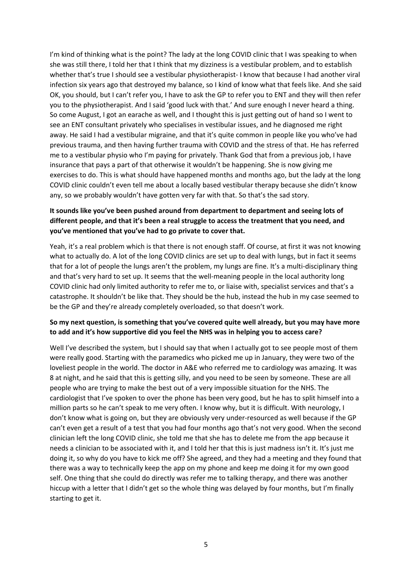I'm kind of thinking what is the point? The lady at the long COVID clinic that I was speaking to when she was still there, I told her that I think that my dizziness is a vestibular problem, and to establish whether that's true I should see a vestibular physiotherapist- I know that because I had another viral infection six years ago that destroyed my balance, so I kind of know what that feels like. And she said OK, you should, but I can't refer you, I have to ask the GP to refer you to ENT and they will then refer you to the physiotherapist. And I said 'good luck with that.' And sure enough I never heard a thing. So come August, I got an earache as well, and I thought this is just getting out of hand so I went to see an ENT consultant privately who specialises in vestibular issues, and he diagnosed me right away. He said I had a vestibular migraine, and that it's quite common in people like you who've had previous trauma, and then having further trauma with COVID and the stress of that. He has referred me to a vestibular physio who I'm paying for privately. Thank God that from a previous job, I have insurance that pays a part of that otherwise it wouldn't be happening. She is now giving me exercises to do. This is what should have happened months and months ago, but the lady at the long COVID clinic couldn't even tell me about a locally based vestibular therapy because she didn't know any, so we probably wouldn't have gotten very far with that. So that's the sad story.

## **It sounds like you've been pushed around from department to department and seeing lots of different people, and that it's been a real struggle to access the treatment that you need, and you've mentioned that you've had to go private to cover that.**

Yeah, it's a real problem which is that there is not enough staff. Of course, at first it was not knowing what to actually do. A lot of the long COVID clinics are set up to deal with lungs, but in fact it seems that for a lot of people the lungs aren't the problem, my lungs are fine. It's a multi-disciplinary thing and that's very hard to set up. It seems that the well-meaning people in the local authority long COVID clinic had only limited authority to refer me to, or liaise with, specialist services and that's a catastrophe. It shouldn't be like that. They should be the hub, instead the hub in my case seemed to be the GP and they're already completely overloaded, so that doesn't work.

## **So my next question, is something that you've covered quite well already, but you may have more to add and it's how supportive did you feel the NHS was in helping you to access care?**

Well I've described the system, but I should say that when I actually got to see people most of them were really good. Starting with the paramedics who picked me up in January, they were two of the loveliest people in the world. The doctor in A&E who referred me to cardiology was amazing. It was 8 at night, and he said that this is getting silly, and you need to be seen by someone. These are all people who are trying to make the best out of a very impossible situation for the NHS. The cardiologist that I've spoken to over the phone has been very good, but he has to split himself into a million parts so he can't speak to me very often. I know why, but it is difficult. With neurology, I don't know what is going on, but they are obviously very under-resourced as well because if the GP can't even get a result of a test that you had four months ago that's not very good. When the second clinician left the long COVID clinic, she told me that she has to delete me from the app because it needs a clinician to be associated with it, and I told her that this is just madness isn't it. It's just me doing it, so why do you have to kick me off? She agreed, and they had a meeting and they found that there was a way to technically keep the app on my phone and keep me doing it for my own good self. One thing that she could do directly was refer me to talking therapy, and there was another hiccup with a letter that I didn't get so the whole thing was delayed by four months, but I'm finally starting to get it.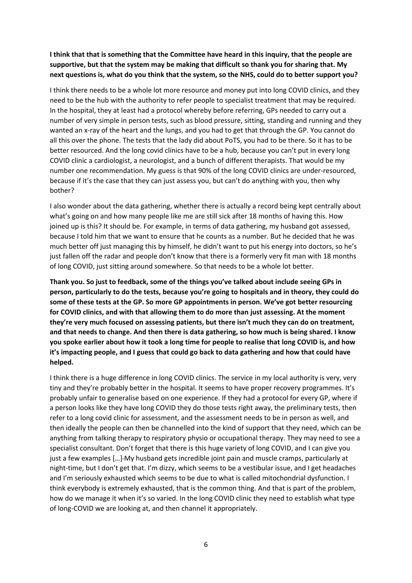# **I think that that is something that the Committee have heard in this inquiry, that the people are supportive, but that the system may be making that difficult so thank you for sharing that. My** next questions is, what do you think that the system, so the NHS, could do to better support you?

I think there needs to be a whole lot more resource and money put into long COVID clinics, and they need to be the hub with the authority to refer people to specialist treatment that may be required. In the hospital, they at least had a protocol whereby before referring, GPs needed to carry out a number of very simple in person tests, such as blood pressure, sitting, standing and running and they wanted an x-ray of the heart and the lungs, and you had to get that through the GP. You cannot do all this over the phone. The tests that the lady did about PoTS, you had to be there. So it has to be better resourced. And the long covid clinics have to be a hub, because you can't put in every long COVID clinic a cardiologist, a neurologist, and a bunch of different therapists. That would be my number one recommendation. My guess is that 90% of the long COVID clinics are under-resourced, because if it's the case that they can just assess you, but can't do anything with you, then why bother?

I also wonder about the data gathering, whether there is actually a record being kept centrally about what's going on and how many people like me are still sick after 18 months of having this. How joined up is this? It should be. For example, in terms of data gathering, my husband got assessed, because I told him that we want to ensure that he counts as a number. But he decided that he was much better off just managing this by himself, he didn't want to put his energy into doctors, so he's just fallen off the radar and people don't know that there is a formerly very fit man with 18 months of long COVID, just sitting around somewhere. So that needs to be a whole lot better.

**Thank you. So just to feedback, some of the things you've talked about include seeing GPs in person, particularly to do the tests, because you're going to hospitals and in theory, they could do some of these tests at the GP. So more GP appointments in person. We've got better resourcing for COVID clinics, and with that allowing them to do more than just assessing. At the moment they're very much focused on assessing patients, but there isn't much they can do on treatment,** and that needs to change. And then there is data gathering, so how much is being shared. I know you spoke earlier about how it took a long time for people to realise that long COVID is, and how **it's impacting people, and I guess that could go back to data gathering and how that could have helped.**

I think there is a huge difference in long COVID clinics. The service in my local authority is very, very tiny and they're probably better in the hospital. It seems to have proper recovery programmes. It's probably unfair to generalise based on one experience. If they had a protocol for every GP, where if a person looks like they have long COVID they do those tests right away, the preliminary tests, then refer to a long covid clinic for assessment, and the assessment needs to be in person as well, and then ideally the people can then be channelled into the kind of support that they need, which can be anything from talking therapy to respiratory physio or occupational therapy. They may need to see a specialist consultant. Don't forget that there is this huge variety of long COVID, and I can give you just a few examples […] My husband gets incredible joint pain and muscle cramps, particularly at night-time, but I don't get that. I'm dizzy, which seems to be a vestibular issue, and I get headaches and I'm seriously exhausted which seems to be due to what is called mitochondrial dysfunction. I think everybody is extremely exhausted, that is the common thing. And that is part of the problem, how do we manage it when it's so varied. In the long COVID clinic they need to establish what type of long-COVID we are looking at, and then channel it appropriately.